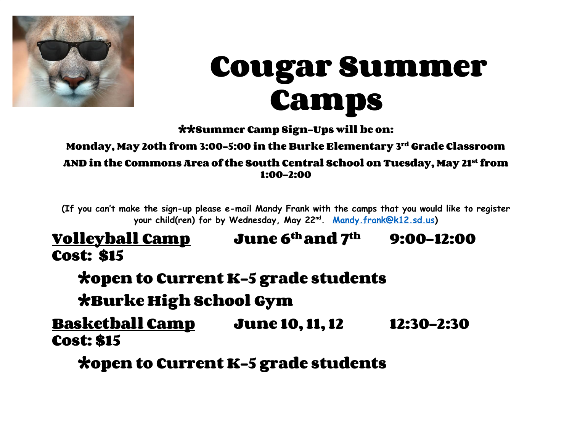

# **Cougar Summer Camps**

**\*\*Summer Camp Sign-Ups will be on:**

**Monday, May 2oth from 3:00-5:00 in the Burke Elementary 3rd Grade Classroom AND in the Commons Area of the South Central School on Tuesday, May 21st from 1:00-2:00**

**(If you can't make the sign-up please e-mail Mandy Frank with the camps that you would like to register your child(ren) for by Wednesday, May 22nd. [Mandy.frank@k12.sd.us\)](mailto:Mandy.frank@k12.sd.us)**

## **Volleyball Camp June 6th and 7th 9:00-12:00 Cost: \$15**

**\*open to Current K-5 grade students**

**\*Burke High School Gym**

**Basketball Camp June 10, 11, 12 12:30-2:30 Cost: \$15**

**\*open to Current K-5 grade students**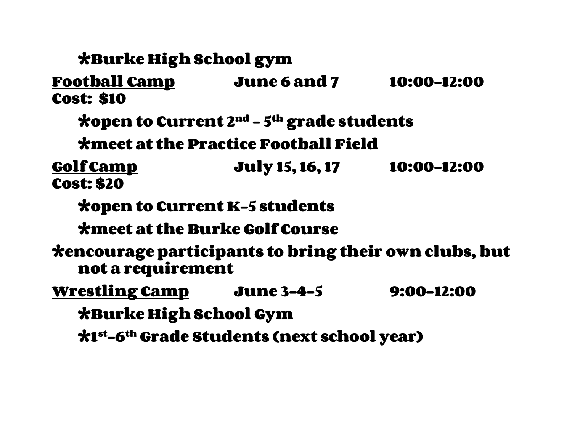**\*Burke High School gym Football Camp June 6 and 7 10:00-12:00 Cost: \$10 \*open to Current 2nd – 5th grade students \*meet at the Practice Football Field Golf Camp July 15, 16, 17 10:00-12:00 Cost: \$20 \*open to Current K-5 students \*meet at the Burke Golf Course \*encourage participants to bring their own clubs, but not a requirement Wrestling Camp June 3-4-5 9:00-12:00 \*Burke High School Gym \*1st-6th Grade Students (next school year)**